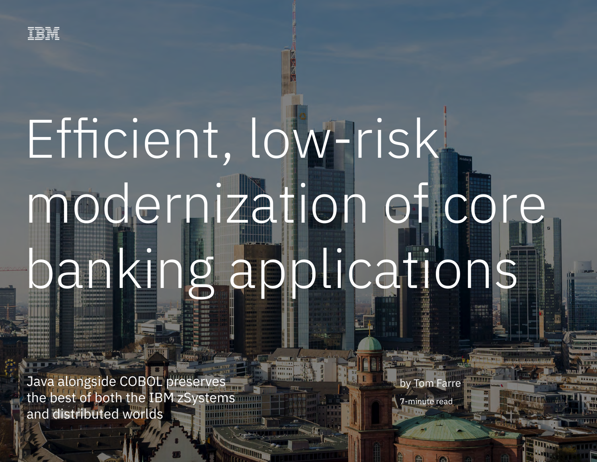

# Efficient, low-risk modernization of core banking applications

Java alongside CoBOL preserves the best of both the IBM zone is the IBM zone is the IBM  $\alpha$ 

Java alongside COBOL preserves the best of both the IBM zSystems and distributed worlds

by Tom Farre

7-minute read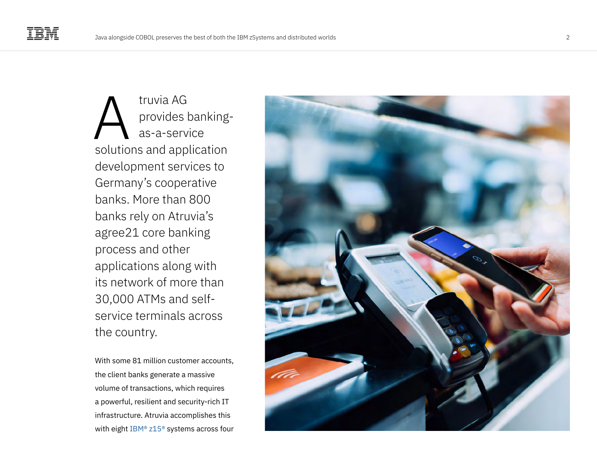truvia AG provides bankingas-a-service solutions and application development services to Germany's cooperative banks. More than 800 banks rely on Atruvia's agree21 core banking process and other applications along with its network of more than 30,000 ATMs and selfservice terminals across the country. fruvia AG<br>
provides banking-<br>
as-a-service<br>
solutions and application<br>
development services to<br>
Germany's cooperative<br>
banks. More than 800<br>
banks rely on Atruvia's<br>
agree21 core banking<br>
process and other<br>
applications al

With some 81 million customer accounts, the client banks generate a massive volume of transactions, which requires a powerful, resilient and security-rich IT infrastructure. Atruvia accomplishes this

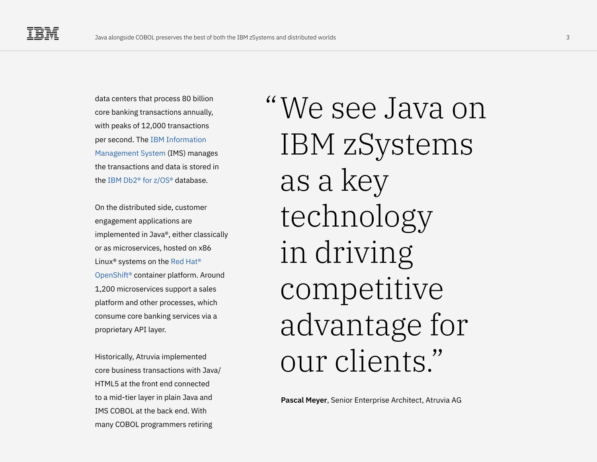data centers that process 80 billion core banking transactions annually, with peaks of 12,000 transactions per second. The [IBM Information](https://www.ibm.com/it-infrastructure/z/ims)  [Management System](https://www.ibm.com/it-infrastructure/z/ims) (IMS) manages the transactions and data is stored in the [IBM Db2® for z/OS®](https://www.ibm.com/products/db2-for-zos) database.

On the distributed side, customer engagement applications are implemented in Java®, either classically or as microservices, hosted on x86 Linux® systems on the [Red Hat®](https://www.ibm.com/cloud/openshift)  [OpenShift®](https://www.ibm.com/cloud/openshift) container platform. Around 1,200 microservices support a sales platform and other processes, which consume core banking services via a proprietary API layer.

Historically, Atruvia implemented core business transactions with Java/ HTML5 at the front end connected to a mid-tier layer in plain Java and IMS COBOL at the back end. With many COBOL programmers retiring

We see Java on "IBM zSystems as a key technology in driving competitive advantage for our clients."

**Pascal Meyer**, Senior Enterprise Architect, Atruvia AG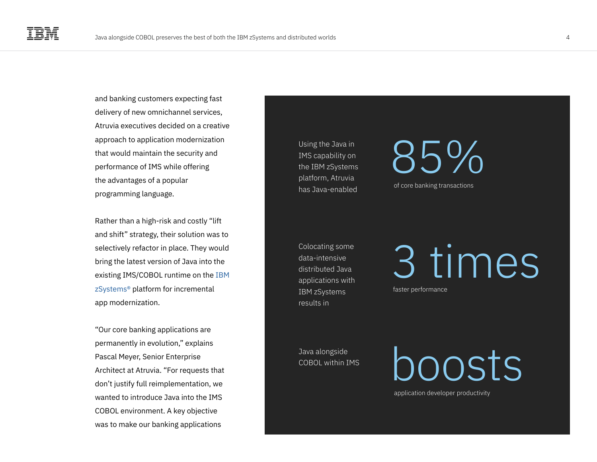and banking customers expecting fast delivery of new omnichannel services, Atruvia executives decided on a creative approach to application modernization that would maintain the security and performance of IMS while offering the advantages of a popular programming language.

Rather than a high-risk and costly "lift and shift" strategy, their solution was to selectively refactor in place. They would bring the latest version of Java into the existing IMS/COBOL runtime on the [IBM](https://www.ibm.com/it-infrastructure/z/zos)  [zSystems®](https://www.ibm.com/it-infrastructure/z/zos) platform for incremental app modernization.

"Our core banking applications are permanently in evolution," explains Pascal Meyer, Senior Enterprise Architect at Atruvia. "For requests that don't justify full reimplementation, we wanted to introduce Java into the IMS COBOL environment. A key objective was to make our banking applications

Using the Java in IMS capability on the IBM zSystems platform, Atruvia has Java-enabled of core banking transactions

Colocating some data-intensive distributed Java applications with IBM zSystems results in

Java alongside COBOL within IMS

## 85%

3 times

faster performance

application developer productivity

boosts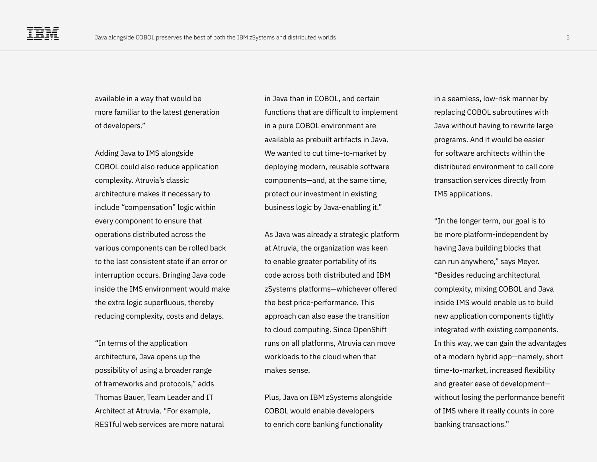available in a way that would be more familiar to the latest generation of developers."

Adding Java to IMS alongside COBOL could also reduce application complexity. Atruvia's classic architecture makes it necessary to include "compensation" logic within every component to ensure that operations distributed across the various components can be rolled back to the last consistent state if an error or interruption occurs. Bringing Java code inside the IMS environment would make the extra logic superfluous, thereby reducing complexity, costs and delays.

"In terms of the application architecture, Java opens up the possibility of using a broader range of frameworks and protocols," adds Thomas Bauer, Team Leader and IT Architect at Atruvia. "For example, RESTful web services are more natural in Java than in COBOL, and certain functions that are difficult to implement in a pure COBOL environment are available as prebuilt artifacts in Java. We wanted to cut time-to-market by deploying modern, reusable software components—and, at the same time, protect our investment in existing business logic by Java-enabling it."

As Java was already a strategic platform at Atruvia, the organization was keen to enable greater portability of its code across both distributed and IBM zSystems platforms—whichever offered the best price-performance. This approach can also ease the transition to cloud computing. Since OpenShift runs on all platforms, Atruvia can move workloads to the cloud when that makes sense.

Plus, Java on IBM zSystems alongside COBOL would enable developers to enrich core banking functionality

in a seamless, low-risk manner by replacing COBOL subroutines with Java without having to rewrite large programs. And it would be easier for software architects within the distributed environment to call core transaction services directly from IMS applications.

"In the longer term, our goal is to be more platform-independent by having Java building blocks that can run anywhere," says Meyer. "Besides reducing architectural complexity, mixing COBOL and Java inside IMS would enable us to build new application components tightly integrated with existing components. In this way, we can gain the advantages of a modern hybrid app—namely, short time-to-market, increased flexibility and greater ease of development without losing the performance benefit of IMS where it really counts in core banking transactions."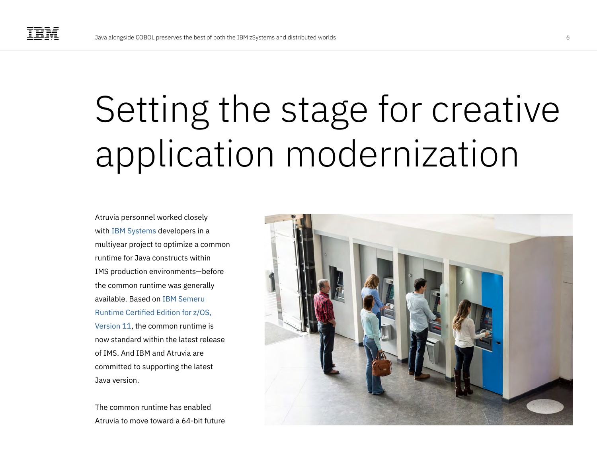### Setting the stage for creative application modernization

Atruvia personnel worked closely with [IBM Systems](https://www.ibm.com/it-infrastructure/z/zos) developers in a multiyear project to optimize a common runtime for Java constructs within IMS production environments—before the common runtime was generally available. Based on [IBM Semeru](https://www.ibm.com/products/semeru-runtime-certified-zos)  [Runtime Certified Edition for z/OS,](https://www.ibm.com/products/semeru-runtime-certified-zos)  [Version 11](https://www.ibm.com/products/semeru-runtime-certified-zos), the common runtime is now standard within the latest release of IMS. And IBM and Atruvia are committed to supporting the latest Java version.

The common runtime has enabled Atruvia to move toward a 64-bit future

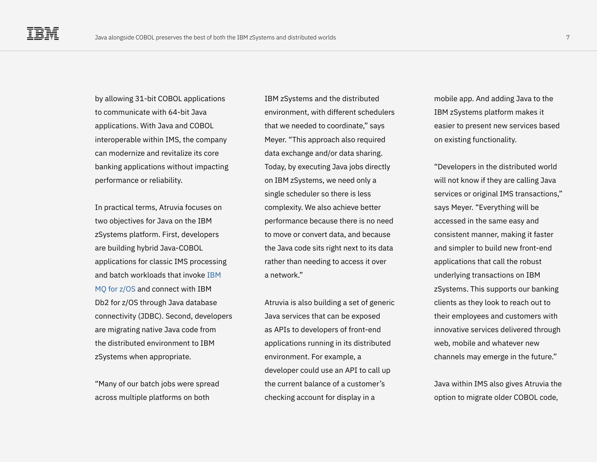by allowing 31-bit COBOL applications to communicate with 64-bit Java applications. With Java and COBOL interoperable within IMS, the company can modernize and revitalize its core banking applications without impacting performance or reliability.

In practical terms, Atruvia focuses on two objectives for Java on the IBM zSystems platform. First, developers are building hybrid Java-COBOL applications for classic IMS processing and batch workloads that invoke [IBM](https://www.ibm.com/products/mq/zos)  [MQ for z/OS](https://www.ibm.com/products/mq/zos) and connect with IBM Db2 for z/OS through Java database connectivity (JDBC). Second, developers are migrating native Java code from the distributed environment to IBM zSystems when appropriate.

"Many of our batch jobs were spread across multiple platforms on both

IBM zSystems and the distributed environment, with different schedulers that we needed to coordinate," says Meyer. "This approach also required data exchange and/or data sharing. Today, by executing Java jobs directly on IBM zSystems, we need only a single scheduler so there is less complexity. We also achieve better performance because there is no need to move or convert data, and because the Java code sits right next to its data rather than needing to access it over a network."

Atruvia is also building a set of generic Java services that can be exposed as APIs to developers of front-end applications running in its distributed environment. For example, a developer could use an API to call up the current balance of a customer's checking account for display in a

mobile app. And adding Java to the IBM zSystems platform makes it easier to present new services based on existing functionality.

"Developers in the distributed world will not know if they are calling Java services or original IMS transactions," says Meyer. "Everything will be accessed in the same easy and consistent manner, making it faster and simpler to build new front-end applications that call the robust underlying transactions on IBM zSystems. This supports our banking clients as they look to reach out to their employees and customers with innovative services delivered through web, mobile and whatever new channels may emerge in the future."

Java within IMS also gives Atruvia the option to migrate older COBOL code,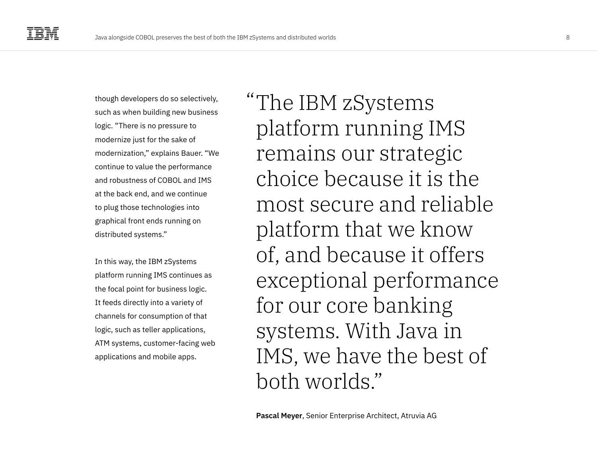though developers do so selectively, such as when building new business logic. "There is no pressure to modernize just for the sake of modernization," explains Bauer. "We continue to value the performance and robustness of COBOL and IMS at the back end, and we continue to plug those technologies into graphical front ends running on distributed systems."

In this way, the IBM zSystems platform running IMS continues as the focal point for business logic. It feeds directly into a variety of channels for consumption of that logic, such as teller applications, ATM systems, customer-facing web applications and mobile apps.

The IBM zSystems "platform running IMS remains our strategic choice because it is the most secure and reliable platform that we know of, and because it offers exceptional performance for our core banking systems. With Java in IMS, we have the best of both worlds."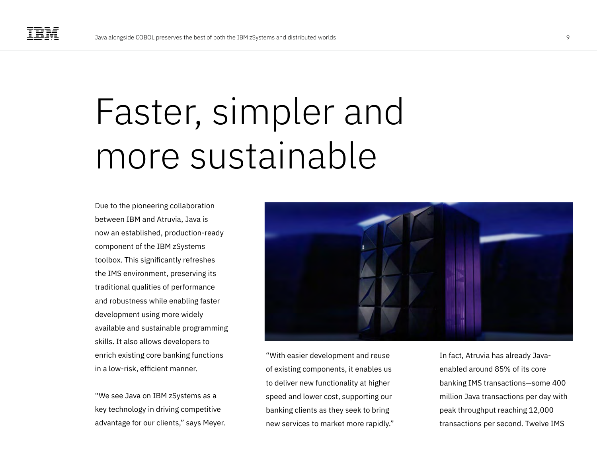### Faster, simpler and more sustainable

Due to the pioneering collaboration between IBM and Atruvia, Java is now an established, production-ready component of the IBM zSystems toolbox. This significantly refreshes the IMS environment, preserving its traditional qualities of performance and robustness while enabling faster development using more widely available and sustainable programming skills. It also allows developers to enrich existing core banking functions in a low-risk, efficient manner.

"We see Java on IBM zSystems as a key technology in driving competitive advantage for our clients," says Meyer.



"With easier development and reuse of existing components, it enables us to deliver new functionality at higher speed and lower cost, supporting our banking clients as they seek to bring new services to market more rapidly." In fact, Atruvia has already Javaenabled around 85% of its core banking IMS transactions—some 400 million Java transactions per day with peak throughput reaching 12,000 transactions per second. Twelve IMS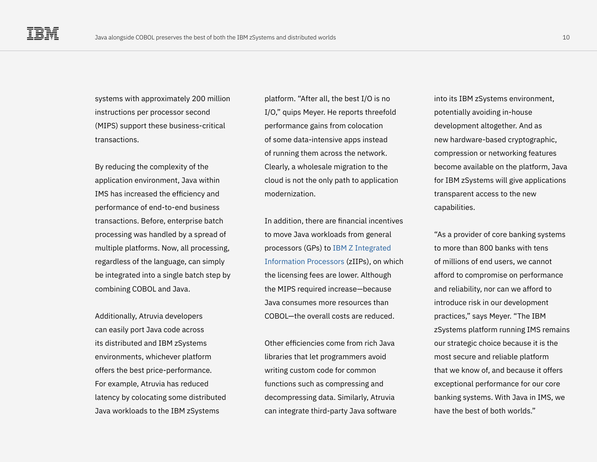systems with approximately 200 million instructions per processor second (MIPS) support these business-critical transactions.

By reducing the complexity of the application environment, Java within IMS has increased the efficiency and performance of end-to-end business transactions. Before, enterprise batch processing was handled by a spread of multiple platforms. Now, all processing, regardless of the language, can simply be integrated into a single batch step by combining COBOL and Java.

Additionally, Atruvia developers can easily port Java code across its distributed and IBM zSystems environments, whichever platform offers the best price-performance. For example, Atruvia has reduced latency by colocating some distributed Java workloads to the IBM zSystems

platform. "After all, the best I/O is no I/O," quips Meyer. He reports threefold performance gains from colocation of some data-intensive apps instead of running them across the network. Clearly, a wholesale migration to the cloud is not the only path to application modernization.

In addition, there are financial incentives to move Java workloads from general processors (GPs) to [IBM Z Integrated](https://www.ibm.com/products/z-integrated-information-processor)  [Information Processors](https://www.ibm.com/products/z-integrated-information-processor) (zIIPs), on which the licensing fees are lower. Although the MIPS required increase—because Java consumes more resources than COBOL—the overall costs are reduced.

Other efficiencies come from rich Java libraries that let programmers avoid writing custom code for common functions such as compressing and decompressing data. Similarly, Atruvia can integrate third-party Java software

into its IBM zSystems environment, potentially avoiding in-house development altogether. And as new hardware-based cryptographic, compression or networking features become available on the platform, Java for IBM zSystems will give applications transparent access to the new capabilities.

"As a provider of core banking systems to more than 800 banks with tens of millions of end users, we cannot afford to compromise on performance and reliability, nor can we afford to introduce risk in our development practices," says Meyer. "The IBM zSystems platform running IMS remains our strategic choice because it is the most secure and reliable platform that we know of, and because it offers exceptional performance for our core banking systems. With Java in IMS, we have the best of both worlds."